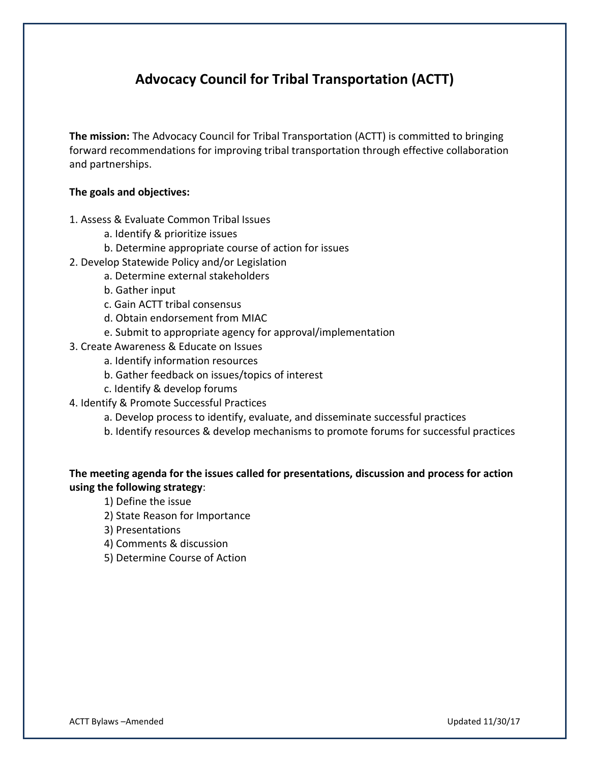# **Advocacy Council for Tribal Transportation (ACTT)**

**The mission:** The Advocacy Council for Tribal Transportation (ACTT) is committed to bringing forward recommendations for improving tribal transportation through effective collaboration and partnerships.

#### **The goals and objectives:**

- 1. Assess & Evaluate Common Tribal Issues
	- a. Identify & prioritize issues
	- b. Determine appropriate course of action for issues
- 2. Develop Statewide Policy and/or Legislation
	- a. Determine external stakeholders
		- b. Gather input
		- c. Gain ACTT tribal consensus
		- d. Obtain endorsement from MIAC
	- e. Submit to appropriate agency for approval/implementation
- 3. Create Awareness & Educate on Issues
	- a. Identify information resources
	- b. Gather feedback on issues/topics of interest
	- c. Identify & develop forums
- 4. Identify & Promote Successful Practices
	- a. Develop process to identify, evaluate, and disseminate successful practices
	- b. Identify resources & develop mechanisms to promote forums for successful practices

## **The meeting agenda for the issues called for presentations, discussion and process for action using the following strategy**:

- 1) Define the issue
- 2) State Reason for Importance
- 3) Presentations
- 4) Comments & discussion
- 5) Determine Course of Action